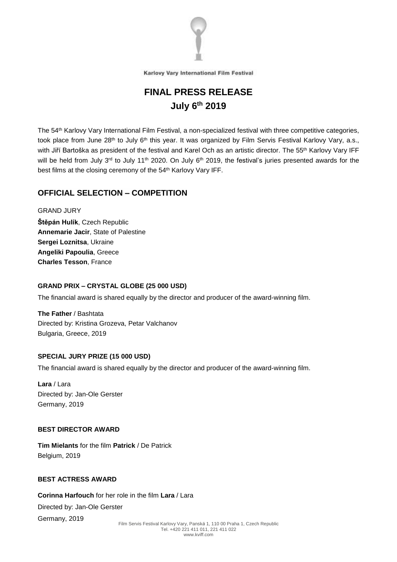

# **FINAL PRESS RELEASE July 6 th 2019**

The 54 th Karlovy Vary International Film Festival, a non-specialized festival with three competitive categories, took place from June 28<sup>th</sup> to July 6<sup>th</sup> this year. It was organized by Film Servis Festival Karlovy Vary, a.s., with Jiří Bartoška as president of the festival and Karel Och as an artistic director. The 55 th Karlovy Vary IFF will be held from July 3<sup>rd</sup> to July 11<sup>th</sup> 2020. On July 6<sup>th</sup> 2019, the festival's juries presented awards for the best films at the closing ceremony of the 54 th Karlovy Vary IFF.

# **OFFICIAL SELECTION – COMPETITION**

GRAND JURY

**Štěpán Hulík**, Czech Republic **Annemarie Jacir**, State of Palestine **Sergei Loznitsa**, Ukraine **Angeliki Papoulia**, Greece **Charles Tesson**, France

# **GRAND PRIX – CRYSTAL GLOBE (25 000 USD)**

The financial award is shared equally by the director and producer of the award-winning film.

**The Father** / Bashtata Directed by: Kristina Grozeva, Petar Valchanov Bulgaria, Greece, 2019

# **SPECIAL JURY PRIZE (15 000 USD)**

The financial award is shared equally by the director and producer of the award-winning film.

**Lara** / Lara Directed by: Jan-Ole Gerster Germany, 2019

# **BEST DIRECTOR AWARD**

**Tim Mielants** for the film **Patrick** / De Patrick Belgium, 2019

# **BEST ACTRESS AWARD**

**Corinna Harfouch** for her role in the film **Lara** / Lara Directed by: Jan-Ole Gerster

Germany, 2019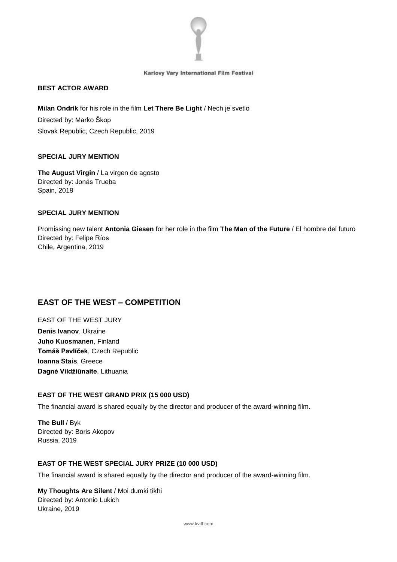

# **BEST ACTOR AWARD**

**Milan Ondrík** for his role in the film **Let There Be Light** / Nech je svetlo Directed by: Marko Škop Slovak Republic, Czech Republic, 2019

# **SPECIAL JURY MENTION**

**The August Virgin** / La virgen de agosto Directed by: Jonás Trueba Spain, 2019

## **SPECIAL JURY MENTION**

Promissing new talent **Antonia Giesen** for her role in the film **The Man of the Future** / El hombre del futuro Directed by: Felipe Ríos Chile, Argentina, 2019

# **EAST OF THE WEST – COMPETITION**

EAST OF THE WEST JURY **Denis Ivanov**, Ukraine **Juho Kuosmanen**, Finland **Tomáš Pavlíček**, Czech Republic **Ioanna Stais**, Greece **Dagnė Vildžiūnaite**, Lithuania

# **EAST OF THE WEST GRAND PRIX (15 000 USD)**

The financial award is shared equally by the director and producer of the award-winning film.

**The Bull** / Byk Directed by: Boris Akopov Russia, 2019

# **EAST OF THE WEST SPECIAL JURY PRIZE (10 000 USD)**

The financial award is shared equally by the director and producer of the award-winning film.

**My Thoughts Are Silent** / Moi dumki tikhi Directed by: Antonio Lukich Ukraine, 2019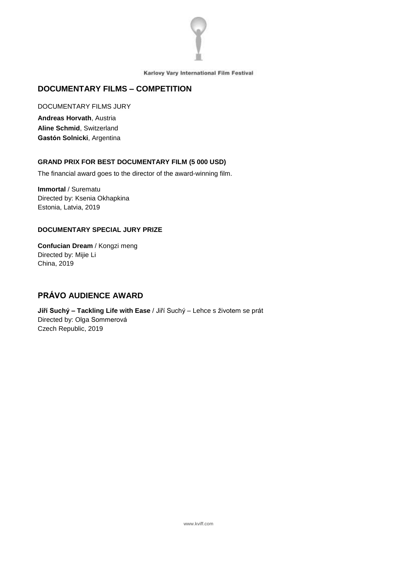

# **DOCUMENTARY FILMS – COMPETITION**

DOCUMENTARY FILMS JURY

**Andreas Horvath**, Austria **Aline Schmid**, Switzerland **Gastón Solnicki**, Argentina

# **GRAND PRIX FOR BEST DOCUMENTARY FILM (5 000 USD)**

The financial award goes to the director of the award-winning film.

**Immortal** / Surematu Directed by: Ksenia Okhapkina Estonia, Latvia, 2019

# **DOCUMENTARY SPECIAL JURY PRIZE**

**Confucian Dream** / Kongzi meng Directed by: [Mijie](https://fis.kviff.com/app/person/48482/Daniel-Zimmermann) Li [China,](https://fis.kviff.com/app/person/48482/Daniel-Zimmermann) 2019

# **PRÁVO AUDIENCE AWARD**

**Jiří Suchý – Tackling Life with Ease** / Jiří Suchý – Lehce s životem se prát Directed by: [Olga](https://fis.kviff.com/app/person/48482/Daniel-Zimmermann) Sommerová Czech [Republic,](https://fis.kviff.com/app/person/48482/Daniel-Zimmermann) 2019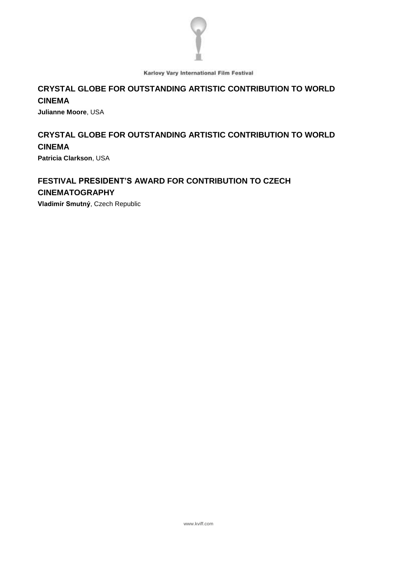

# **CRYSTAL GLOBE FOR OUTSTANDING ARTISTIC CONTRIBUTION TO WORLD CINEMA**

**Julianne Moore**, USA

# **CRYSTAL GLOBE FOR OUTSTANDING ARTISTIC CONTRIBUTION TO WORLD CINEMA**

**Patricia Clarkson**, USA

# **FESTIVAL PRESIDENT'S AWARD FOR CONTRIBUTION TO CZECH CINEMATOGRAPHY**

**Vladimír Smutný**, Czech Republic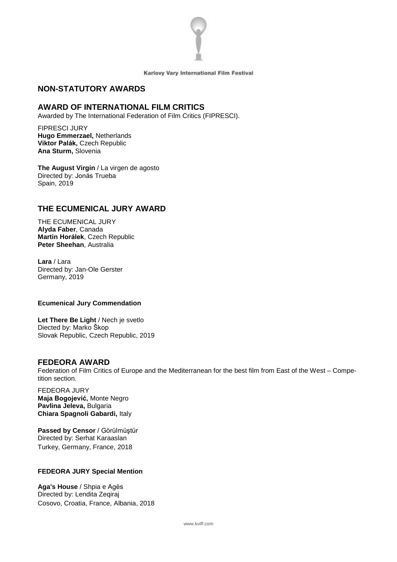

# **NON-STATUTORY AWARDS**

# **AWARD OF INTERNATIONAL FILM CRITICS**

Awarded by The International Federation of Film Critics (FIPRESCI).

FIPRESCI JURY **Hugo Emmerzael,** Netherlands **Viktor Palák,** Czech Republic **Ana Sturm,** Slovenia

**The August Virgin** / La virgen de agosto Directed by: Jonás Trueba Spain, 2019

# **THE ECUMENICAL JURY AWARD**

THE ECUMENICAL JURY **Alyda Faber**, Canada **Martin Horálek**, Czech Republic **Peter Sheehan**, Australia

**Lara** / Lara Directed by: Jan-Ole Gerster Germany, 2019

#### **Ecumenical Jury Commendation**

**Let There Be Light** / Nech je svetlo Diected by: Marko Škop Slovak Republic, Czech Republic, 2019

# **FEDEORA AWARD**

Federation of Film Critics of Europe and the Mediterranean for the best film from East of the West – Competition section.

FEDEORA JURY **Maja Bogojević,** Monte Negro **Pavlina Jeleva,** Bulgaria **Chiara Spagnoli Gabardi,** Italy

**Passed by Censor** / Görülmüştür Directed by: Serhat Karaaslan Turkey, Germany, France, 2018

# **FEDEORA JURY Special Mention**

**Aga's House** / Shpia e Agës Directed by: Lendita Zeqiraj Cosovo, Croatia, France, Albania, 2018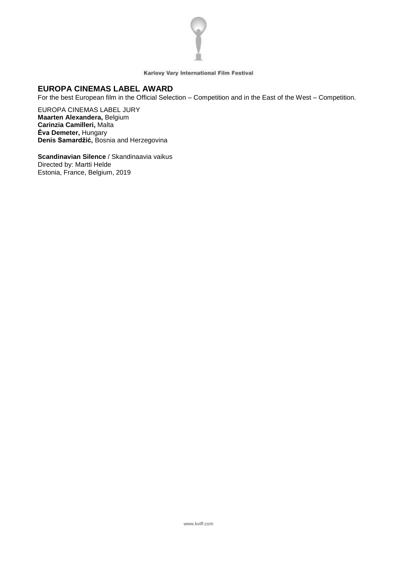

# **EUROPA CINEMAS LABEL AWARD**

For the best European film in the Official Selection – Competition and in the East of the West – Competition.

EUROPA CINEMAS LABEL JURY **Maarten Alexandera,** Belgium **Carinzia Camilleri,** Malta **Éva Demeter,** Hungary **Denis Samardžić,** Bosnia and Herzegovina

**Scandinavian Silence** / Skandinaavia vaikus Directed by: Martti Helde Estonia, France, Belgium, 2019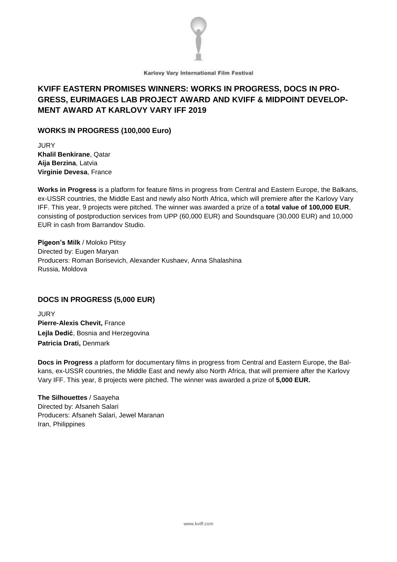

# **KVIFF EASTERN PROMISES WINNERS: WORKS IN PROGRESS, DOCS IN PRO-GRESS, EURIMAGES LAB PROJECT AWARD AND KVIFF & MIDPOINT DEVELOP-MENT AWARD AT KARLOVY VARY IFF 2019**

# **WORKS IN PROGRESS (100,000 Euro)**

**JURY Khalil Benkirane**, Qatar **Aija Berzina**, Latvia **Virginie Devesa**, France

**Works in Progress** is a platform for feature films in progress from Central and Eastern Europe, the Balkans, ex-USSR countries, the Middle East and newly also North Africa, which will premiere after the Karlovy Vary IFF. This year, 9 projects were pitched. The winner was awarded a prize of a **total value of 100,000 EUR**, consisting of postproduction services from UPP (60,000 EUR) and Soundsquare (30,000 EUR) and 10,000 EUR in cash from Barrandov Studio.

**Pigeon's Milk** / Moloko Ptitsy Directed by: Eugen Maryan Producers: Roman Borisevich, Alexander Kushaev, Anna Shalashina Russia, Moldova

# **DOCS IN PROGRESS (5,000 EUR)**

JURY **Pierre-Alexis Chevit,** France **Lejla Dedić**, Bosnia and Herzegovina **Patricia Drati,** Denmark

**Docs in Progress** a platform for documentary films in progress from Central and Eastern Europe, the Balkans, ex-USSR countries, the Middle East and newly also North Africa, that will premiere after the Karlovy Vary IFF. This year, 8 projects were pitched. The winner was awarded a prize of **5,000 EUR.**

**The Silhouettes** / Saayeha Directed by: Afsaneh Salari Producers: Afsaneh Salari, Jewel Maranan Iran, Philippines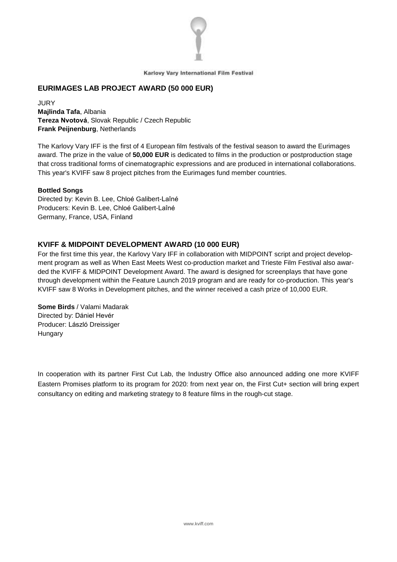

# **EURIMAGES LAB PROJECT AWARD (50 000 EUR)**

**JURY Majlinda Tafa**, Albania **Tereza Nvotová**, Slovak Republic / Czech Republic **Frank Peijnenburg**, Netherlands

The Karlovy Vary IFF is the first of 4 European film festivals of the festival season to award the Eurimages award. The prize in the value of **50,000 EUR** is dedicated to films in the production or postproduction stage that cross traditional forms of cinematographic expressions and are produced in international collaborations. This year's KVIFF saw 8 project pitches from the Eurimages fund member countries.

#### **Bottled Songs**

Directed by: Kevin B. Lee, Chloé Galibert-Laîné Producers: Kevin B. Lee, Chloé Galibert-Laîné Germany, France, USA, Finland

# **KVIFF & MIDPOINT DEVELOPMENT AWARD (10 000 EUR)**

For the first time this year, the Karlovy Vary IFF in collaboration with MIDPOINT script and project development program as well as When East Meets West co-production market and Trieste Film Festival also awarded the KVIFF & MIDPOINT Development Award. The award is designed for screenplays that have gone through development within the Feature Launch 2019 program and are ready for co-production. This year's KVIFF saw 8 Works in Development pitches, and the winner received a cash prize of 10,000 EUR.

**Some Birds** / Valami Madarak Directed by: Dániel Hevér Producer: László Dreissiger **Hungary** 

In cooperation with its partner First Cut Lab, the Industry Office also announced adding one more KVIFF Eastern Promises platform to its program for 2020: from next year on, the First Cut+ section will bring expert consultancy on editing and marketing strategy to 8 feature films in the rough-cut stage.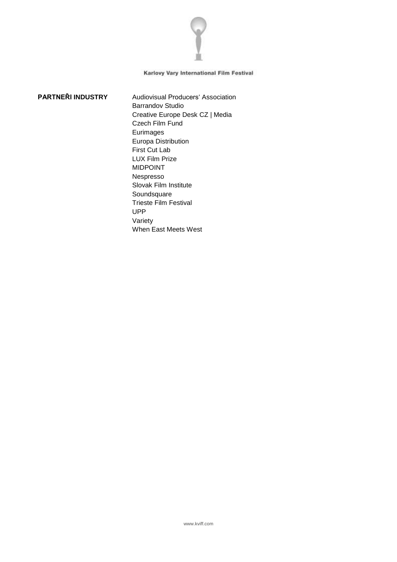

**PARTNEŘI INDUSTRY** Audiovisual Producers' Association Barrandov Studio Creative Europe Desk CZ | Media Czech Film Fund **Eurimages** Europa Distribution First Cut Lab LUX Film Prize MIDPOINT Nespresso Slovak Film Institute Soundsquare Trieste Film Festival UPP Variety When East Meets West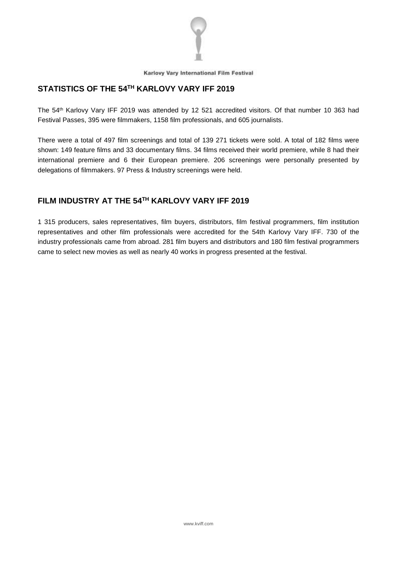

# **STATISTICS OF THE 54 TH KARLOVY VARY IFF 2019**

The 54 th Karlovy Vary IFF 2019 was attended by 12 521 accredited visitors. Of that number 10 363 had Festival Passes, 395 were filmmakers, 1158 film professionals, and 605 journalists.

There were a total of 497 film screenings and total of 139 271 tickets were sold. A total of 182 films were shown: 149 feature films and 33 documentary films. 34 films received their world premiere, while 8 had their international premiere and 6 their European premiere. 206 screenings were personally presented by delegations of filmmakers. 97 Press & Industry screenings were held.

# **FILM INDUSTRY AT THE 54 TH KARLOVY VARY IFF 2019**

1 315 producers, sales representatives, film buyers, distributors, film festival programmers, film institution representatives and other film professionals were accredited for the 54th Karlovy Vary IFF. 730 of the industry professionals came from abroad. 281 film buyers and distributors and 180 film festival programmers came to select new movies as well as nearly 40 works in progress presented at the festival.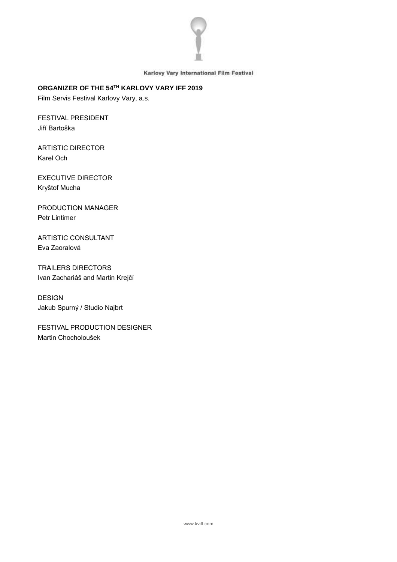

# **ORGANIZER OF THE 54 TH KARLOVY VARY IFF 2019**

Film Servis Festival Karlovy Vary, a.s.

FESTIVAL PRESIDENT Jiří Bartoška

ARTISTIC DIRECTOR Karel Och

EXECUTIVE DIRECTOR Kryštof Mucha

PRODUCTION MANAGER Petr Lintimer

ARTISTIC CONSULTANT Eva Zaoralová

TRAILERS DIRECTORS Ivan Zachariáš and Martin Krejčí

DESIGN Jakub Spurný / Studio Najbrt

FESTIVAL PRODUCTION DESIGNER Martin Chocholoušek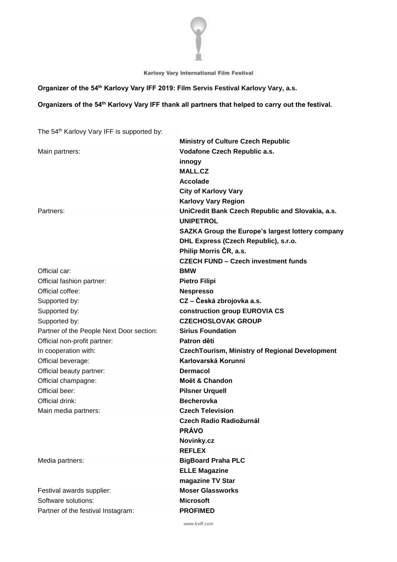

#### **Organizer of the 54 th Karlovy Vary IFF 2019: Film Servis Festival Karlovy Vary, a.s.**

# **Organizers of the 54 th Karlovy Vary IFF thank all partners that helped to carry out the festival.**

The 54 th Karlovy Vary IFF is supported by:

|                                          | <b>Ministry of Culture Czech Republic</b>               |
|------------------------------------------|---------------------------------------------------------|
| Main partners:                           | Vodafone Czech Republic a.s.                            |
|                                          | innogy                                                  |
|                                          | <b>MALL.CZ</b>                                          |
|                                          | <b>Accolade</b>                                         |
|                                          | <b>City of Karlovy Vary</b>                             |
|                                          | <b>Karlovy Vary Region</b>                              |
| Partners:                                | UniCredit Bank Czech Republic and Slovakia, a.s.        |
|                                          | <b>UNIPETROL</b>                                        |
|                                          | <b>SAZKA Group the Europe's largest lottery company</b> |
|                                          | DHL Express (Czech Republic), s.r.o.                    |
|                                          | Philip Morris ČR, a.s.                                  |
|                                          | <b>CZECH FUND - Czech investment funds</b>              |
| Official car:                            | <b>BMW</b>                                              |
| Official fashion partner:                | <b>Pietro Filipi</b>                                    |
| Official coffee:                         | <b>Nespresso</b>                                        |
| Supported by:                            | CZ – Česká zbrojovka a.s.                               |
| Supported by:                            | construction group EUROVIA CS                           |
| Supported by:                            | <b>CZECHOSLOVAK GROUP</b>                               |
| Partner of the People Next Door section: | <b>Sirius Foundation</b>                                |
| Official non-profit partner:             | Patron dětí                                             |
| In cooperation with:                     | <b>CzechTourism, Ministry of Regional Development</b>   |
| Official beverage:                       | Karlovarská Korunní                                     |
| Official beauty partner:                 | <b>Dermacol</b>                                         |
| Official champagne:                      | Moët & Chandon                                          |
| Official beer:                           | <b>Pilsner Urquell</b>                                  |
| Official drink:                          | <b>Becherovka</b>                                       |
| Main media partners:                     | <b>Czech Television</b>                                 |
|                                          | Czech Radio Radiožurnál                                 |
|                                          | <b>PRÁVO</b>                                            |
|                                          | Novinky.cz                                              |
|                                          | <b>REFLEX</b>                                           |
| Media partners:                          | <b>BigBoard Praha PLC</b>                               |
|                                          | <b>ELLE Magazine</b>                                    |
|                                          | magazine TV Star                                        |
| Festival awards supplier:                | <b>Moser Glassworks</b>                                 |
| Software solutions:                      | <b>Microsoft</b>                                        |
| Partner of the festival Instagram:       | <b>PROFIMED</b>                                         |
|                                          |                                                         |

www.kviff.com